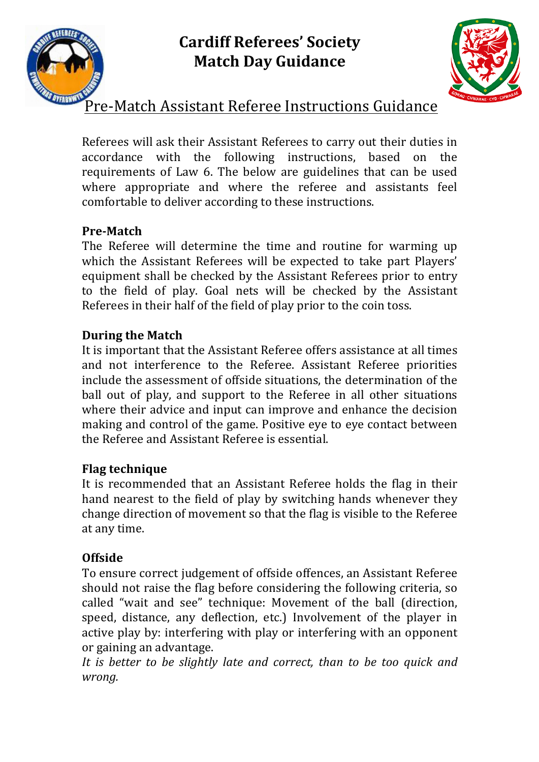



# Pre-Match Assistant Referee Instructions Guidance

Referees will ask their Assistant Referees to carry out their duties in accordance with the following instructions, based on the requirements of Law 6. The below are guidelines that can be used where appropriate and where the referee and assistants feel comfortable to deliver according to these instructions.

## **Pre-Match**

The Referee will determine the time and routine for warming up which the Assistant Referees will be expected to take part Players' equipment shall be checked by the Assistant Referees prior to entry to the field of play. Goal nets will be checked by the Assistant Referees in their half of the field of play prior to the coin toss.

#### **During the Match**

It is important that the Assistant Referee offers assistance at all times and not interference to the Referee. Assistant Referee priorities include the assessment of offside situations, the determination of the ball out of play, and support to the Referee in all other situations where their advice and input can improve and enhance the decision making and control of the game. Positive eve to eve contact between the Referee and Assistant Referee is essential.

## **Flag technique**

It is recommended that an Assistant Referee holds the flag in their hand nearest to the field of play by switching hands whenever they change direction of movement so that the flag is visible to the Referee at any time.

## **Offside**

To ensure correct judgement of offside offences, an Assistant Referee should not raise the flag before considering the following criteria, so called "wait and see" technique: Movement of the ball (direction, speed, distance, any deflection, etc.) Involvement of the player in active play by: interfering with play or interfering with an opponent or gaining an advantage.

It is better to be slightly late and correct, than to be too quick and *wrong.*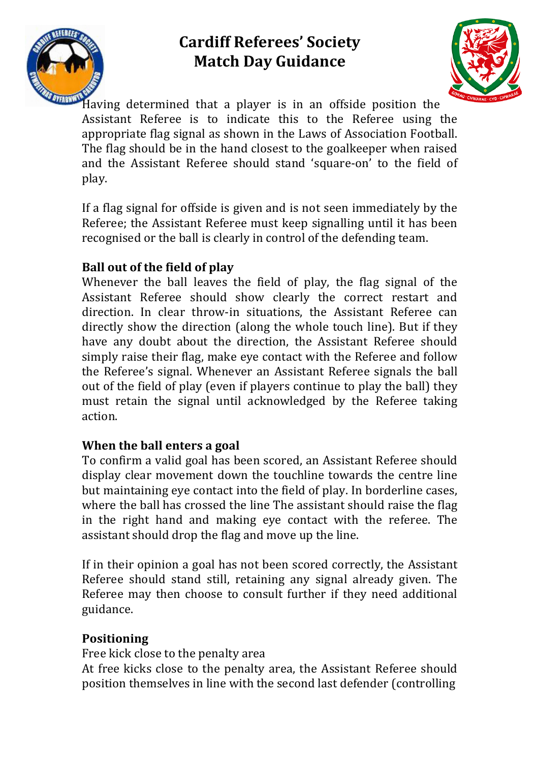



Having determined that a player is in an offside position the Assistant Referee is to indicate this to the Referee using the appropriate flag signal as shown in the Laws of Association Football. The flag should be in the hand closest to the goalkeeper when raised and the Assistant Referee should stand 'square-on' to the field of play.

If a flag signal for offside is given and is not seen immediately by the Referee; the Assistant Referee must keep signalling until it has been recognised or the ball is clearly in control of the defending team.

#### **Ball out of the field of play**

Whenever the ball leaves the field of play, the flag signal of the Assistant Referee should show clearly the correct restart and direction. In clear throw-in situations, the Assistant Referee can directly show the direction (along the whole touch line). But if they have any doubt about the direction, the Assistant Referee should simply raise their flag, make eye contact with the Referee and follow the Referee's signal. Whenever an Assistant Referee signals the ball out of the field of play (even if players continue to play the ball) they must retain the signal until acknowledged by the Referee taking action.

#### **When the ball enters a goal**

To confirm a valid goal has been scored, an Assistant Referee should display clear movement down the touchline towards the centre line but maintaining eye contact into the field of play. In borderline cases, where the ball has crossed the line The assistant should raise the flag in the right hand and making eye contact with the referee. The assistant should drop the flag and move up the line.

If in their opinion a goal has not been scored correctly, the Assistant Referee should stand still, retaining any signal already given. The Referee may then choose to consult further if they need additional guidance.

#### **Positioning**

Free kick close to the penalty area

At free kicks close to the penalty area, the Assistant Referee should position themselves in line with the second last defender (controlling)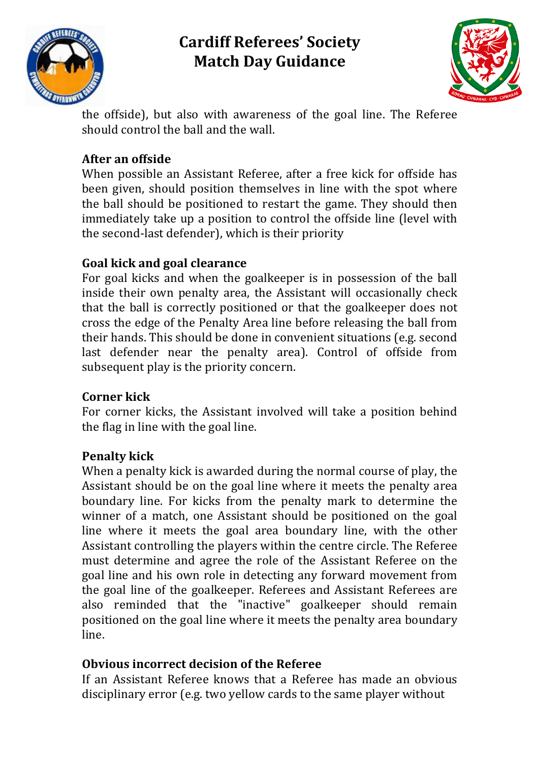



the offside), but also with awareness of the goal line. The Referee should control the ball and the wall.

## **After an offside**

When possible an Assistant Referee, after a free kick for offside has been given, should position themselves in line with the spot where the ball should be positioned to restart the game. They should then immediately take up a position to control the offside line (level with the second-last defender), which is their priority

## **Goal kick and goal clearance**

For goal kicks and when the goalkeeper is in possession of the ball inside their own penalty area, the Assistant will occasionally check that the ball is correctly positioned or that the goalkeeper does not cross the edge of the Penalty Area line before releasing the ball from their hands. This should be done in convenient situations (e.g. second last defender near the penalty area). Control of offside from subsequent play is the priority concern.

## **Corner** kick

For corner kicks, the Assistant involved will take a position behind the flag in line with the goal line.

## **Penalty kick**

When a penalty kick is awarded during the normal course of play, the Assistant should be on the goal line where it meets the penalty area boundary line. For kicks from the penalty mark to determine the winner of a match, one Assistant should be positioned on the goal line where it meets the goal area boundary line, with the other Assistant controlling the players within the centre circle. The Referee must determine and agree the role of the Assistant Referee on the goal line and his own role in detecting any forward movement from the goal line of the goalkeeper. Referees and Assistant Referees are also reminded that the "inactive" goalkeeper should remain positioned on the goal line where it meets the penalty area boundary line. 

## **Obvious incorrect decision of the Referee**

If an Assistant Referee knows that a Referee has made an obvious disciplinary error (e.g. two yellow cards to the same player without